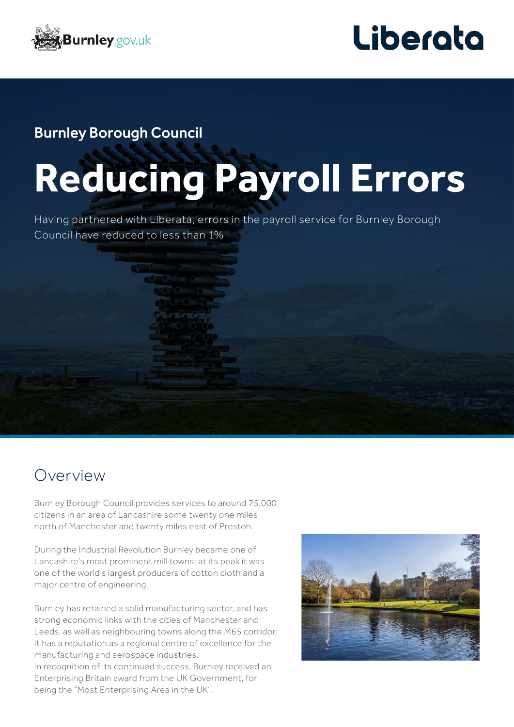



### Burnley Borough Council

# **Reducing Payroll Errors**

Having partnered with Liberata, errors in the payroll service for Burnley Borough Council have reduced to less than 1%

## Overview

Burnley Borough Council provides services to around 75,000 citizens in an area of Lancashire some twenty one miles north of Manchester and twenty miles east of Preston.

During the Industrial Revolution Burnley became one of Lancashire's most prominent mill towns: at its peak it was one of the world's largest producers of cotton cloth and a major centre of engineering.

Burnley has retained a solid manufacturing sector, and has strong economic links with the cities of Manchester and Leeds, as well as neighbouring towns along the M65 corridor. It has a reputation as a regional centre of excellence for the manufacturing and aerospace industries.

In recognition of its continued success, Burnley received an Enterprising Britain award from the UK Government, for being the "Most Enterprising Area in the UK".